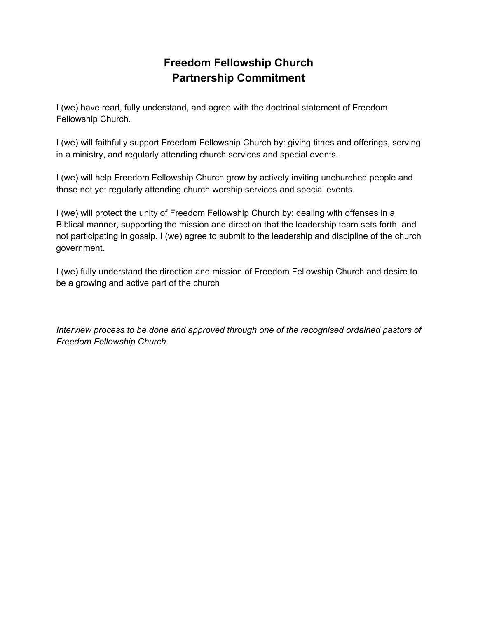# **Freedom Fellowship Church Partnership Commitment**

I (we) have read, fully understand, and agree with the doctrinal statement of Freedom Fellowship Church.

I (we) will faithfully support Freedom Fellowship Church by: giving tithes and offerings, serving in a ministry, and regularly attending church services and special events.

I (we) will help Freedom Fellowship Church grow by actively inviting unchurched people and those not yet regularly attending church worship services and special events.

I (we) will protect the unity of Freedom Fellowship Church by: dealing with offenses in a Biblical manner, supporting the mission and direction that the leadership team sets forth, and not participating in gossip. I (we) agree to submit to the leadership and discipline of the church government.

I (we) fully understand the direction and mission of Freedom Fellowship Church and desire to be a growing and active part of the church

*Interview process to be done and approved through one of the recognised ordained pastors of Freedom Fellowship Church.*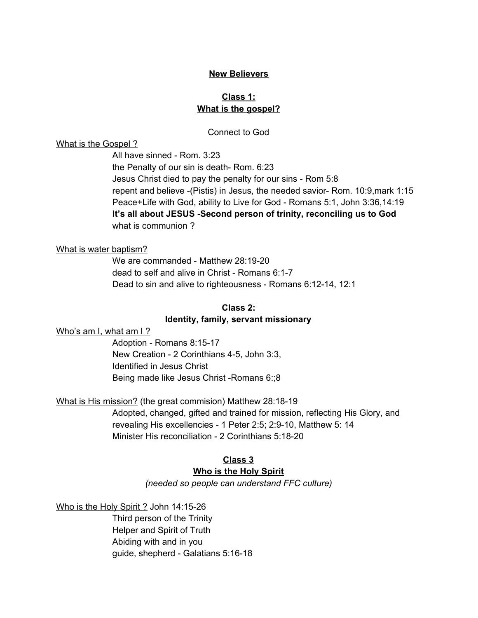# **New Believers**

# **Class 1: What is the gospel?**

# Connect to God

# What is the Gospel ?

All have sinned - Rom. 3:23 the Penalty of our sin is death-Rom. 6:23 Jesus Christ died to pay the penalty for our sins - Rom 5:8 repent and believe - (Pistis) in Jesus, the needed savior- Rom. 10:9, mark 1:15 Peace+Life with God, ability to Live for God - Romans 5:1, John 3:36,14:19 **It's all about JESUS Second person of trinity, reconciling us to God** what is communion ?

### What is water baptism?

We are commanded - Matthew 28:19-20 dead to self and alive in Christ - Romans 6:1-7 Dead to sin and alive to righteousness - Romans 6:12-14, 12:1

#### **Class 2:**

#### **Identity, family, servant missionary**

Who's am I, what am I ?

Adoption - Romans 8:15-17 New Creation - 2 Corinthians 4-5, John 3:3, Identified in Jesus Christ Being made like Jesus Christ - Romans 6:;8

# What is His mission? (the great commision) Matthew 28:18-19

Adopted, changed, gifted and trained for mission, reflecting His Glory, and revealing His excellencies - 1 Peter 2:5; 2:9-10, Matthew 5: 14 Minister His reconciliation - 2 Corinthians 5:18-20

# **Class 3**

## **Who is the Holy Spirit**

*(needed so people can understand FFC culture)*

Who is the Holy Spirit ? John 14:15-26

Third person of the Trinity Helper and Spirit of Truth Abiding with and in you guide, shepherd - Galatians 5:16-18